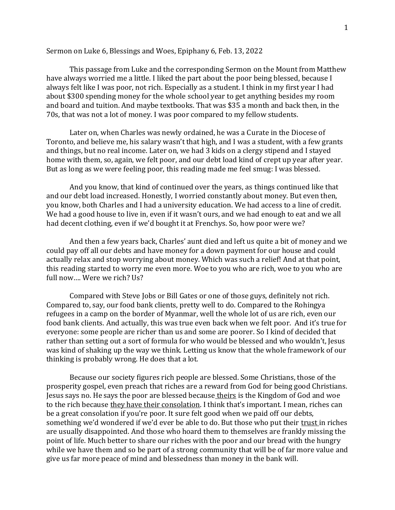## Sermon on Luke 6, Blessings and Woes, Epiphany 6, Feb. 13, 2022

This passage from Luke and the corresponding Sermon on the Mount from Matthew have always worried me a little. I liked the part about the poor being blessed, because I always felt like I was poor, not rich. Especially as a student. I think in my first year I had about \$300 spending money for the whole school year to get anything besides my room and board and tuition. And maybe textbooks. That was \$35 a month and back then, in the 70s, that was not a lot of money. I was poor compared to my fellow students.

Later on, when Charles was newly ordained, he was a Curate in the Diocese of Toronto, and believe me, his salary wasn't that high, and I was a student, with a few grants and things, but no real income. Later on, we had 3 kids on a clergy stipend and I stayed home with them, so, again, we felt poor, and our debt load kind of crept up year after year. But as long as we were feeling poor, this reading made me feel smug: I was blessed.

And you know, that kind of continued over the years, as things continued like that and our debt load increased. Honestly, I worried constantly about money. But even then, you know, both Charles and I had a university education. We had access to a line of credit. We had a good house to live in, even if it wasn't ours, and we had enough to eat and we all had decent clothing, even if we'd bought it at Frenchys. So, how poor were we?

And then a few years back, Charles' aunt died and left us quite a bit of money and we could pay off all our debts and have money for a down payment for our house and could actually relax and stop worrying about money. Which was such a relief! And at that point, this reading started to worry me even more. Woe to you who are rich, woe to you who are full now…. Were we rich? Us?

Compared with Steve Jobs or Bill Gates or one of those guys, definitely not rich. Compared to, say, our food bank clients, pretty well to do. Compared to the Rohingya refugees in a camp on the border of Myanmar, well the whole lot of us are rich, even our food bank clients. And actually, this was true even back when we felt poor. And it's true for everyone: some people are richer than us and some are poorer. So I kind of decided that rather than setting out a sort of formula for who would be blessed and who wouldn't, Jesus was kind of shaking up the way we think. Letting us know that the whole framework of our thinking is probably wrong. He does that a lot.

Because our society figures rich people are blessed. Some Christians, those of the prosperity gospel, even preach that riches are a reward from God for being good Christians. Jesus says no. He says the poor are blessed because theirs is the Kingdom of God and woe to the rich because they have their consolation. I think that's important. I mean, riches can be a great consolation if you're poor. It sure felt good when we paid off our debts, something we'd wondered if we'd ever be able to do. But those who put their trust in riches are usually disappointed. And those who hoard them to themselves are frankly missing the point of life. Much better to share our riches with the poor and our bread with the hungry while we have them and so be part of a strong community that will be of far more value and give us far more peace of mind and blessedness than money in the bank will.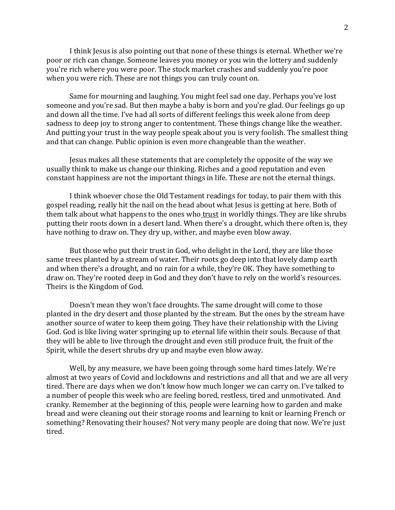I think Jesus is also pointing out that none of these things is eternal. Whether we're poor or rich can change. Someone leaves you money or you win the lottery and suddenly you're rich where you were poor. The stock market crashes and suddenly you're poor when you were rich. These are not things you can truly count on.

Same for mourning and laughing. You might feel sad one day. Perhaps you've lost someone and you're sad. But then maybe a baby is born and you're glad. Our feelings go up and down all the time. I've had all sorts of different feelings this week alone from deep sadness to deep joy to strong anger to contentment. These things change like the weather. And putting your trust in the way people speak about you is very foolish. The smallest thing and that can change. Public opinion is even more changeable than the weather.

Jesus makes all these statements that are completely the opposite of the way we usually think to make us change our thinking. Riches and a good reputation and even constant happiness are not the important things in life. These are not the eternal things.

I think whoever chose the Old Testament readings for today, to pair them with this gospel reading, really hit the nail on the head about what Jesus is getting at here. Both of them talk about what happens to the ones who trust in worldly things. They are like shrubs putting their roots down in a desert land. When there's a drought, which there often is, they have nothing to draw on. They dry up, wither, and maybe even blow away.

But those who put their trust in God, who delight in the Lord, they are like those same trees planted by a stream of water. Their roots go deep into that lovely damp earth and when there's a drought, and no rain for a while, they're OK. They have something to draw on. They're rooted deep in God and they don't have to rely on the world's resources. Theirs is the Kingdom of God.

Doesn't mean they won't face droughts. The same drought will come to those planted in the dry desert and those planted by the stream. But the ones by the stream have another source of water to keep them going. They have their relationship with the Living God. God is like living water springing up to eternal life within their souls. Because of that they will be able to live through the drought and even still produce fruit, the fruit of the Spirit, while the desert shrubs dry up and maybe even blow away.

Well, by any measure, we have been going through some hard times lately. We're almost at two years of Covid and lockdowns and restrictions and all that and we are all very tired. There are days when we don't know how much longer we can carry on. I've talked to a number of people this week who are feeling bored, restless, tired and unmotivated. And cranky. Remember at the beginning of this, people were learning how to garden and make bread and were cleaning out their storage rooms and learning to knit or learning French or something? Renovating their houses? Not very many people are doing that now. We're just tired.